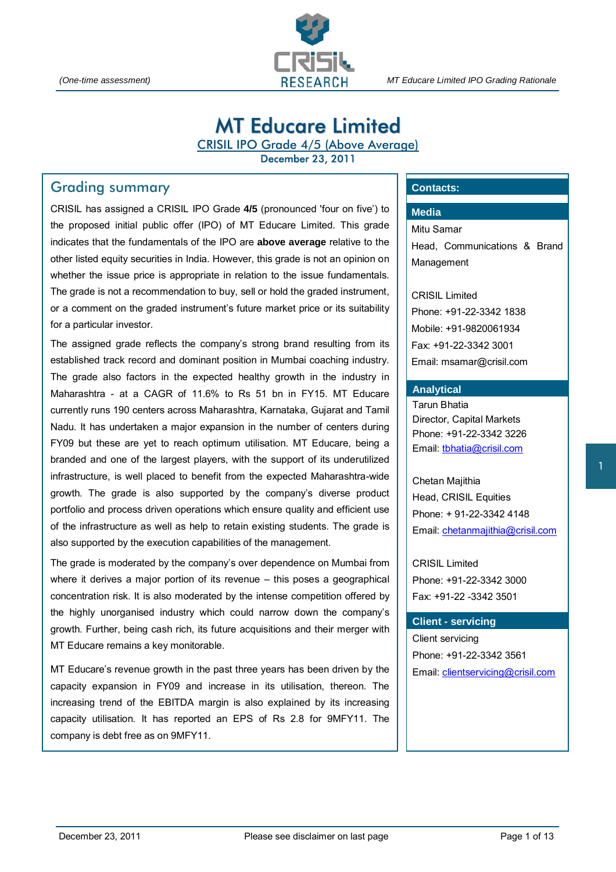

*(One-time assessment) MT Educare Limited IPO Grading Rationale* 

# MT Educare Limited

CRISIL IPO Grade 4/5 (Above Average)

December 23, 2011

# Grading summary

CRISIL has assigned a CRISIL IPO Grade **4/5** (pronounced 'four on five') to the proposed initial public offer (IPO) of MT Educare Limited. This grade indicates that the fundamentals of the IPO are **above average** relative to the other listed equity securities in India. However, this grade is not an opinion on whether the issue price is appropriate in relation to the issue fundamentals. The grade is not a recommendation to buy, sell or hold the graded instrument, or a comment on the graded instrument's future market price or its suitability for a particular investor.

The assigned grade reflects the company's strong brand resulting from its established track record and dominant position in Mumbai coaching industry. The grade also factors in the expected healthy growth in the industry in Maharashtra - at a CAGR of 11.6% to Rs 51 bn in FY15. MT Educare currently runs 190 centers across Maharashtra, Karnataka, Gujarat and Tamil Nadu. It has undertaken a major expansion in the number of centers during FY09 but these are yet to reach optimum utilisation. MT Educare, being a branded and one of the largest players, with the support of its underutilized infrastructure, is well placed to benefit from the expected Maharashtra-wide growth. The grade is also supported by the company's diverse product portfolio and process driven operations which ensure quality and efficient use of the infrastructure as well as help to retain existing students. The grade is also supported by the execution capabilities of the management.

The grade is moderated by the company's over dependence on Mumbai from where it derives a major portion of its revenue – this poses a geographical concentration risk. It is also moderated by the intense competition offered by the highly unorganised industry which could narrow down the company's growth. Further, being cash rich, its future acquisitions and their merger with MT Educare remains a key monitorable.

MT Educare's revenue growth in the past three years has been driven by the capacity expansion in FY09 and increase in its utilisation, thereon. The increasing trend of the EBITDA margin is also explained by its increasing capacity utilisation. It has reported an EPS of Rs 2.8 for 9MFY11. The company is debt free as on 9MFY11.

# **Contacts:**

# **Media**

Mitu Samar Head, Communications & Brand Management

CRISIL Limited Phone: +91-22-3342 1838 Mobile: +91-9820061934 Fax: +91-22-3342 3001 Email: msamar@crisil.com

#### **Analytical**

Tarun Bhatia Director, Capital Markets Phone: +91-22-3342 3226 Email: tbhatia@crisil.com

Chetan Majithia Head, CRISIL Equities Phone: + 91-22-3342 4148 Email: chetanmajithia@crisil.com

CRISIL Limited Phone: +91-22-3342 3000 Fax: +91-22 -3342 3501

#### **Client - servicing**

Client servicing Phone: +91-22-3342 3561 Email: clientservicing@crisil.com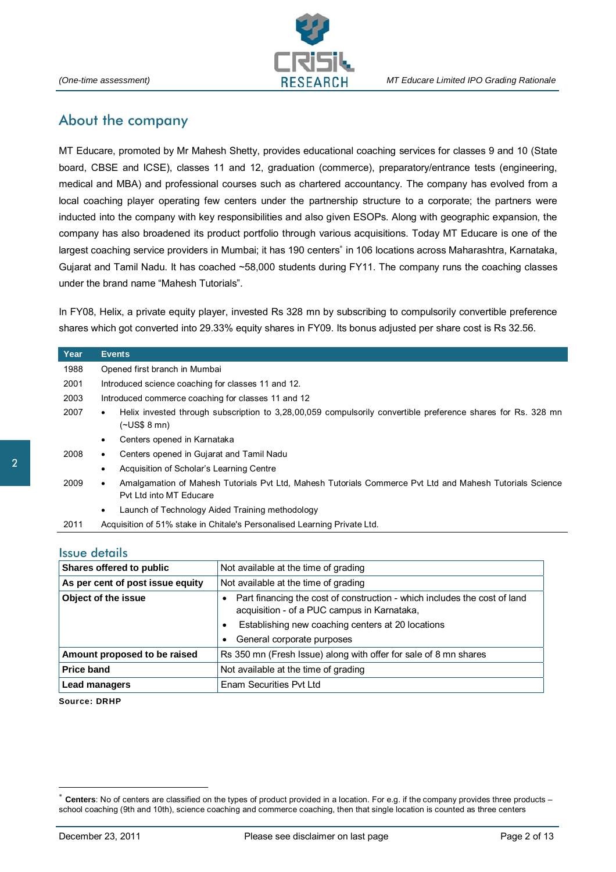

# About the company

MT Educare, promoted by Mr Mahesh Shetty, provides educational coaching services for classes 9 and 10 (State board, CBSE and ICSE), classes 11 and 12, graduation (commerce), preparatory/entrance tests (engineering, medical and MBA) and professional courses such as chartered accountancy. The company has evolved from a local coaching player operating few centers under the partnership structure to a corporate; the partners were inducted into the company with key responsibilities and also given ESOPs. Along with geographic expansion, the company has also broadened its product portfolio through various acquisitions. Today MT Educare is one of the largest coaching service providers in Mumbai; it has 190 centers<sup>\*</sup> in 106 locations across Maharashtra, Karnataka, Gujarat and Tamil Nadu. It has coached ~58,000 students during FY11. The company runs the coaching classes under the brand name "Mahesh Tutorials".

In FY08, Helix, a private equity player, invested Rs 328 mn by subscribing to compulsorily convertible preference shares which got converted into 29.33% equity shares in FY09. Its bonus adjusted per share cost is Rs 32.56.

| Year | <b>Events</b>                                                                                                                                    |  |  |  |
|------|--------------------------------------------------------------------------------------------------------------------------------------------------|--|--|--|
| 1988 | Opened first branch in Mumbai                                                                                                                    |  |  |  |
| 2001 | Introduced science coaching for classes 11 and 12.                                                                                               |  |  |  |
| 2003 | Introduced commerce coaching for classes 11 and 12                                                                                               |  |  |  |
| 2007 | Helix invested through subscription to 3,28,00,059 compulsorily convertible preference shares for Rs. 328 mn<br>٠<br>$(-USS 8$ mn)               |  |  |  |
|      | Centers opened in Karnataka<br>٠                                                                                                                 |  |  |  |
| 2008 | Centers opened in Gujarat and Tamil Nadu<br>٠                                                                                                    |  |  |  |
|      | Acquisition of Scholar's Learning Centre<br>٠                                                                                                    |  |  |  |
| 2009 | Amalgamation of Mahesh Tutorials Pvt Ltd, Mahesh Tutorials Commerce Pvt Ltd and Mahesh Tutorials Science<br>$\bullet$<br>Pyt Ltd into MT Educare |  |  |  |
|      | Launch of Technology Aided Training methodology<br>٠                                                                                             |  |  |  |
| 2011 | Acquisition of 51% stake in Chitale's Personalised Learning Private Ltd.                                                                         |  |  |  |

#### Issue details

| Shares offered to public                                                 | Not available at the time of grading                                                                                                                                                                                          |  |  |
|--------------------------------------------------------------------------|-------------------------------------------------------------------------------------------------------------------------------------------------------------------------------------------------------------------------------|--|--|
| As per cent of post issue equity<br>Not available at the time of grading |                                                                                                                                                                                                                               |  |  |
| Object of the issue                                                      | Part financing the cost of construction - which includes the cost of land<br>acquisition - of a PUC campus in Karnataka,<br>Establishing new coaching centers at 20 locations<br>٠<br>General corporate purposes<br>$\bullet$ |  |  |
| Amount proposed to be raised                                             | Rs 350 mn (Fresh Issue) along with offer for sale of 8 mn shares                                                                                                                                                              |  |  |
| <b>Price band</b>                                                        | Not available at the time of grading                                                                                                                                                                                          |  |  |
| <b>Lead managers</b>                                                     | Enam Securities Pyt Ltd                                                                                                                                                                                                       |  |  |

**Source: DRHP** 

 $\overline{a}$ 

**Centers**: No of centers are classified on the types of product provided in a location. For e.g. if the company provides three products – school coaching (9th and 10th), science coaching and commerce coaching, then that single location is counted as three centers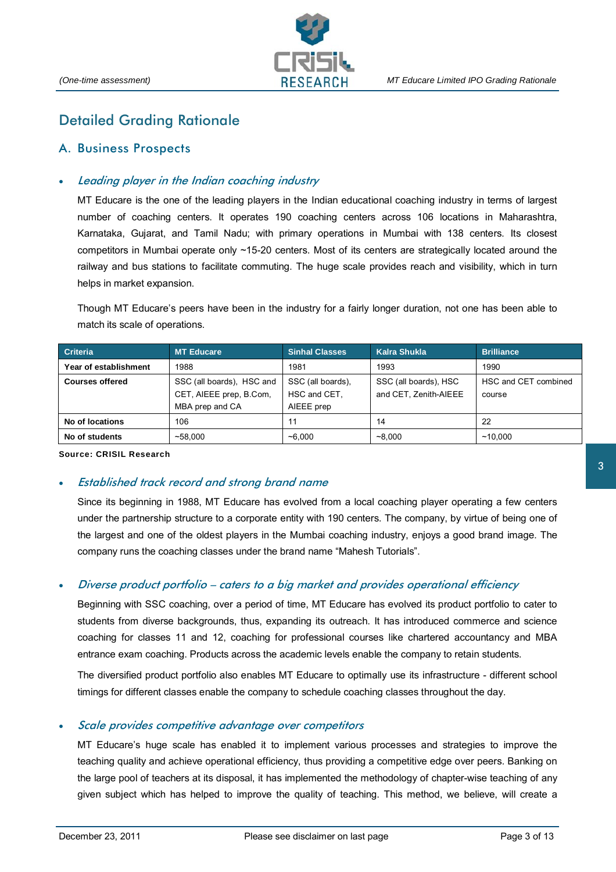

# Detailed Grading Rationale

# A. Business Prospects

# Leading player in the Indian coaching industry

MT Educare is the one of the leading players in the Indian educational coaching industry in terms of largest number of coaching centers. It operates 190 coaching centers across 106 locations in Maharashtra, Karnataka, Gujarat, and Tamil Nadu; with primary operations in Mumbai with 138 centers. Its closest competitors in Mumbai operate only ~15-20 centers. Most of its centers are strategically located around the railway and bus stations to facilitate commuting. The huge scale provides reach and visibility, which in turn helps in market expansion.

Though MT Educare's peers have been in the industry for a fairly longer duration, not one has been able to match its scale of operations.

| <b>Criteria</b>        | <b>MT Educare</b>         | <b>Sinhal Classes</b> | Kalra Shukla          | <b>Brilliance</b>    |
|------------------------|---------------------------|-----------------------|-----------------------|----------------------|
| Year of establishment  | 1988                      | 1981                  | 1993                  | 1990                 |
| <b>Courses offered</b> | SSC (all boards). HSC and | SSC (all boards).     | SSC (all boards), HSC | HSC and CET combined |
|                        | CET, AIEEE prep, B.Com,   | HSC and CET,          | and CET, Zenith-AIEEE | course               |
|                        | MBA prep and CA           | AIEEE prep            |                       |                      |
| No of locations        | 106                       | 11                    | 14                    | 22                   |
| No of students         | ~58.000                   | ~1000                 | ~1000                 | ~10.000              |

**Source: CRISIL Research** 

#### • Established track record and strong brand name

Since its beginning in 1988, MT Educare has evolved from a local coaching player operating a few centers under the partnership structure to a corporate entity with 190 centers. The company, by virtue of being one of the largest and one of the oldest players in the Mumbai coaching industry, enjoys a good brand image. The company runs the coaching classes under the brand name "Mahesh Tutorials".

#### • Diverse product portfolio – caters to a big market and provides operational efficiency

Beginning with SSC coaching, over a period of time, MT Educare has evolved its product portfolio to cater to students from diverse backgrounds, thus, expanding its outreach. It has introduced commerce and science coaching for classes 11 and 12, coaching for professional courses like chartered accountancy and MBA entrance exam coaching. Products across the academic levels enable the company to retain students.

The diversified product portfolio also enables MT Educare to optimally use its infrastructure - different school timings for different classes enable the company to schedule coaching classes throughout the day.

#### Scale provides competitive advantage over competitors

MT Educare's huge scale has enabled it to implement various processes and strategies to improve the teaching quality and achieve operational efficiency, thus providing a competitive edge over peers. Banking on the large pool of teachers at its disposal, it has implemented the methodology of chapter-wise teaching of any given subject which has helped to improve the quality of teaching. This method, we believe, will create a

3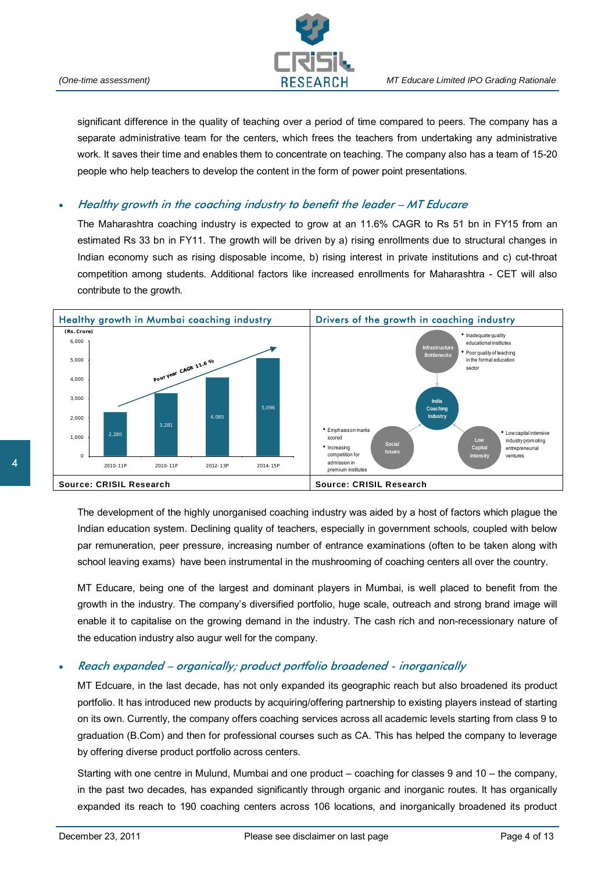

significant difference in the quality of teaching over a period of time compared to peers. The company has a separate administrative team for the centers, which frees the teachers from undertaking any administrative work. It saves their time and enables them to concentrate on teaching. The company also has a team of 15-20 people who help teachers to develop the content in the form of power point presentations.

### • Healthy growth in the coaching industry to benefit the leader – MT Educare

The Maharashtra coaching industry is expected to grow at an 11.6% CAGR to Rs 51 bn in FY15 from an estimated Rs 33 bn in FY11. The growth will be driven by a) rising enrollments due to structural changes in Indian economy such as rising disposable income, b) rising interest in private institutions and c) cut-throat competition among students. Additional factors like increased enrollments for Maharashtra - CET will also contribute to the growth.



The development of the highly unorganised coaching industry was aided by a host of factors which plague the Indian education system. Declining quality of teachers, especially in government schools, coupled with below par remuneration, peer pressure, increasing number of entrance examinations (often to be taken along with school leaving exams) have been instrumental in the mushrooming of coaching centers all over the country.

MT Educare, being one of the largest and dominant players in Mumbai, is well placed to benefit from the growth in the industry. The company's diversified portfolio, huge scale, outreach and strong brand image will enable it to capitalise on the growing demand in the industry. The cash rich and non-recessionary nature of the education industry also augur well for the company.

### • Reach expanded – organically; product portfolio broadened - inorganically

MT Edcuare, in the last decade, has not only expanded its geographic reach but also broadened its product portfolio. It has introduced new products by acquiring/offering partnership to existing players instead of starting on its own. Currently, the company offers coaching services across all academic levels starting from class 9 to graduation (B.Com) and then for professional courses such as CA. This has helped the company to leverage by offering diverse product portfolio across centers.

Starting with one centre in Mulund, Mumbai and one product – coaching for classes 9 and 10 – the company, in the past two decades, has expanded significantly through organic and inorganic routes. It has organically expanded its reach to 190 coaching centers across 106 locations, and inorganically broadened its product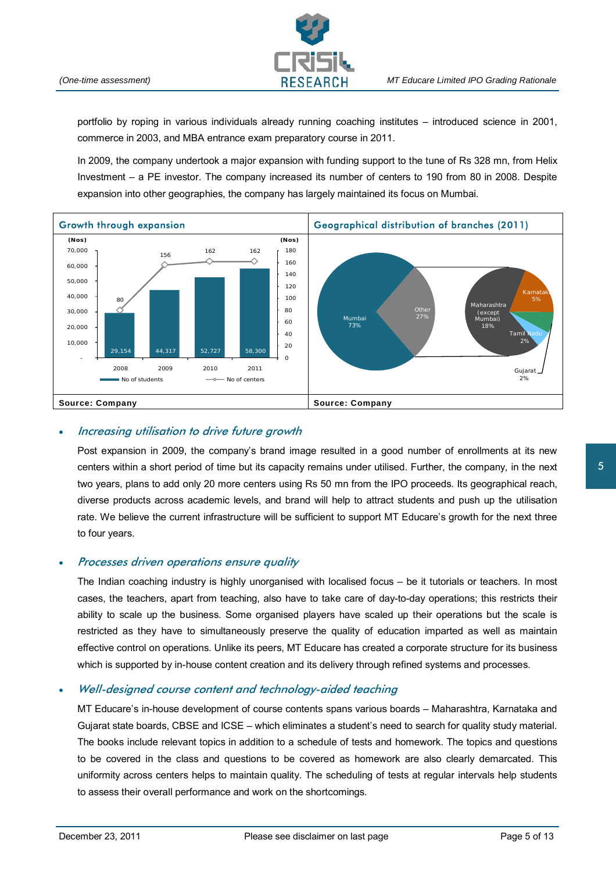

portfolio by roping in various individuals already running coaching institutes – introduced science in 2001, commerce in 2003, and MBA entrance exam preparatory course in 2011.

In 2009, the company undertook a major expansion with funding support to the tune of Rs 328 mn, from Helix Investment – a PE investor. The company increased its number of centers to 190 from 80 in 2008. Despite expansion into other geographies, the company has largely maintained its focus on Mumbai.



# • Increasing utilisation to drive future growth

Post expansion in 2009, the company's brand image resulted in a good number of enrollments at its new centers within a short period of time but its capacity remains under utilised. Further, the company, in the next two years, plans to add only 20 more centers using Rs 50 mn from the IPO proceeds. Its geographical reach, diverse products across academic levels, and brand will help to attract students and push up the utilisation rate. We believe the current infrastructure will be sufficient to support MT Educare's growth for the next three to four years.

### • Processes driven operations ensure quality

The Indian coaching industry is highly unorganised with localised focus – be it tutorials or teachers. In most cases, the teachers, apart from teaching, also have to take care of day-to-day operations; this restricts their ability to scale up the business. Some organised players have scaled up their operations but the scale is restricted as they have to simultaneously preserve the quality of education imparted as well as maintain effective control on operations. Unlike its peers, MT Educare has created a corporate structure for its business which is supported by in-house content creation and its delivery through refined systems and processes.

# • Well-designed course content and technology-aided teaching

MT Educare's in-house development of course contents spans various boards – Maharashtra, Karnataka and Gujarat state boards, CBSE and ICSE – which eliminates a student's need to search for quality study material. The books include relevant topics in addition to a schedule of tests and homework. The topics and questions to be covered in the class and questions to be covered as homework are also clearly demarcated. This uniformity across centers helps to maintain quality. The scheduling of tests at regular intervals help students to assess their overall performance and work on the shortcomings.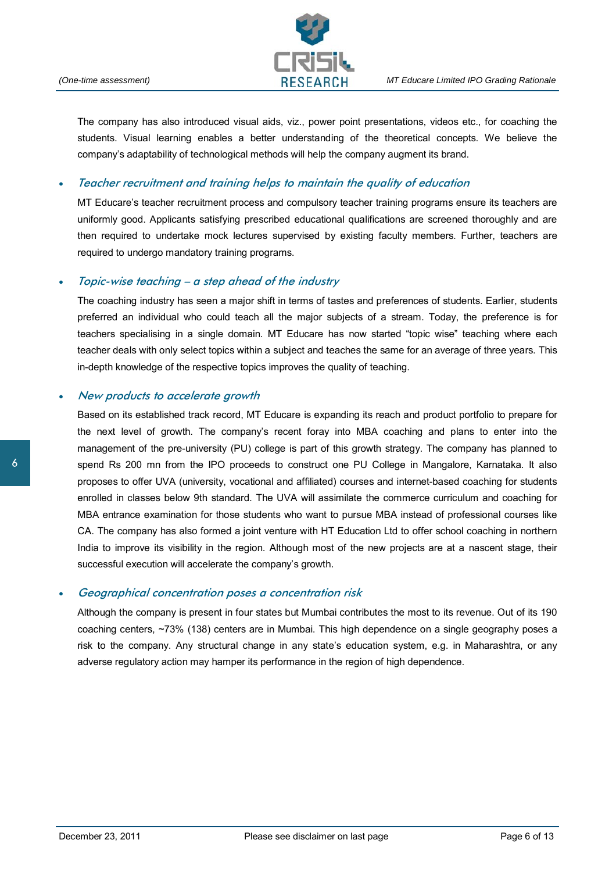

The company has also introduced visual aids, viz., power point presentations, videos etc., for coaching the students. Visual learning enables a better understanding of the theoretical concepts. We believe the company's adaptability of technological methods will help the company augment its brand.

### • Teacher recruitment and training helps to maintain the quality of education

MT Educare's teacher recruitment process and compulsory teacher training programs ensure its teachers are uniformly good. Applicants satisfying prescribed educational qualifications are screened thoroughly and are then required to undertake mock lectures supervised by existing faculty members. Further, teachers are required to undergo mandatory training programs.

#### • Topic-wise teaching – a step ahead of the industry

The coaching industry has seen a major shift in terms of tastes and preferences of students. Earlier, students preferred an individual who could teach all the major subjects of a stream. Today, the preference is for teachers specialising in a single domain. MT Educare has now started "topic wise" teaching where each teacher deals with only select topics within a subject and teaches the same for an average of three years. This in-depth knowledge of the respective topics improves the quality of teaching.

#### • New products to accelerate growth

Based on its established track record, MT Educare is expanding its reach and product portfolio to prepare for the next level of growth. The company's recent foray into MBA coaching and plans to enter into the management of the pre-university (PU) college is part of this growth strategy. The company has planned to spend Rs 200 mn from the IPO proceeds to construct one PU College in Mangalore, Karnataka. It also proposes to offer UVA (university, vocational and affiliated) courses and internet-based coaching for students enrolled in classes below 9th standard. The UVA will assimilate the commerce curriculum and coaching for MBA entrance examination for those students who want to pursue MBA instead of professional courses like CA. The company has also formed a joint venture with HT Education Ltd to offer school coaching in northern India to improve its visibility in the region. Although most of the new projects are at a nascent stage, their successful execution will accelerate the company's growth.

#### • Geographical concentration poses a concentration risk

Although the company is present in four states but Mumbai contributes the most to its revenue. Out of its 190 coaching centers, ~73% (138) centers are in Mumbai. This high dependence on a single geography poses a risk to the company. Any structural change in any state's education system, e.g. in Maharashtra, or any adverse regulatory action may hamper its performance in the region of high dependence.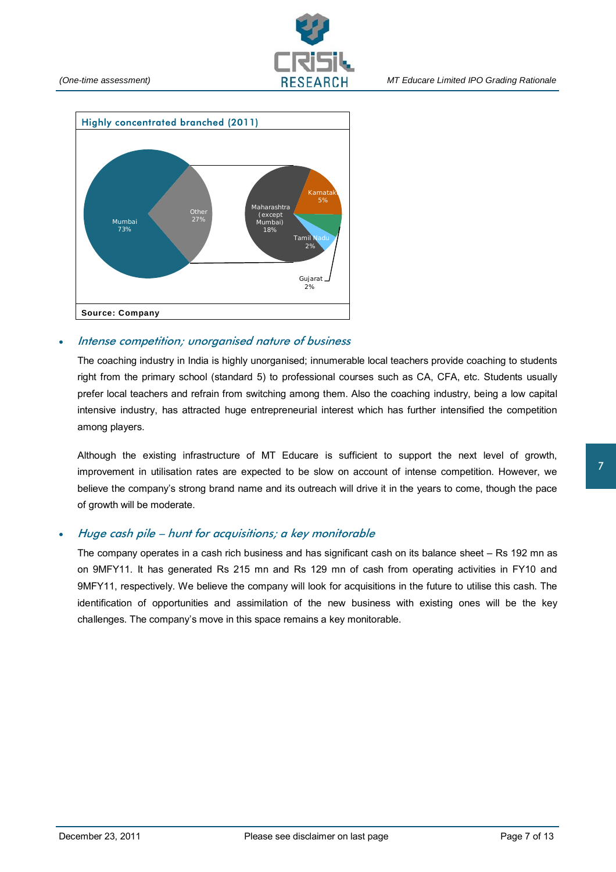



#### Intense competition; unorganised nature of business

The coaching industry in India is highly unorganised; innumerable local teachers provide coaching to students right from the primary school (standard 5) to professional courses such as CA, CFA, etc. Students usually prefer local teachers and refrain from switching among them. Also the coaching industry, being a low capital intensive industry, has attracted huge entrepreneurial interest which has further intensified the competition among players.

Although the existing infrastructure of MT Educare is sufficient to support the next level of growth, improvement in utilisation rates are expected to be slow on account of intense competition. However, we believe the company's strong brand name and its outreach will drive it in the years to come, though the pace of growth will be moderate.

### • Huge cash pile – hunt for acquisitions; a key monitorable

The company operates in a cash rich business and has significant cash on its balance sheet – Rs 192 mn as on 9MFY11. It has generated Rs 215 mn and Rs 129 mn of cash from operating activities in FY10 and 9MFY11, respectively. We believe the company will look for acquisitions in the future to utilise this cash. The identification of opportunities and assimilation of the new business with existing ones will be the key challenges. The company's move in this space remains a key monitorable.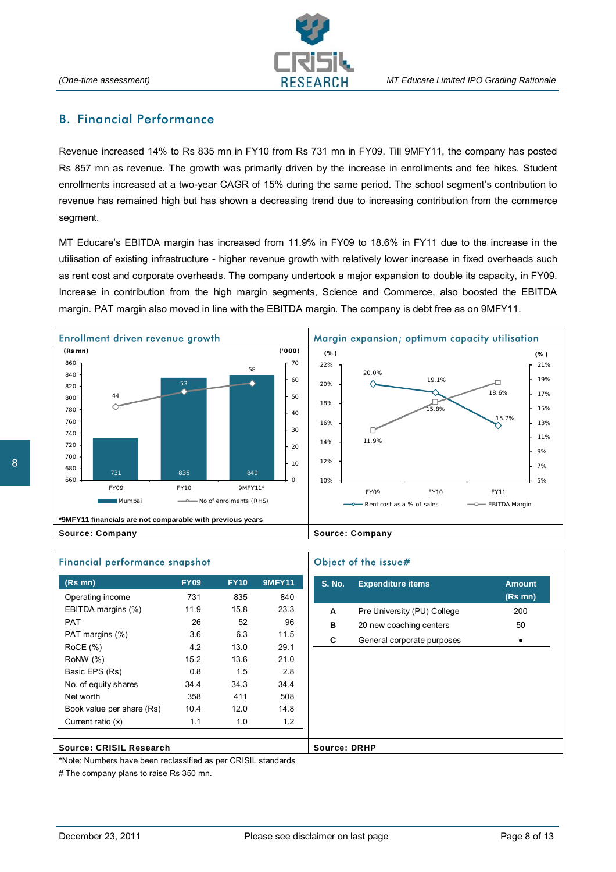

# B. Financial Performance

Revenue increased 14% to Rs 835 mn in FY10 from Rs 731 mn in FY09. Till 9MFY11, the company has posted Rs 857 mn as revenue. The growth was primarily driven by the increase in enrollments and fee hikes. Student enrollments increased at a two-year CAGR of 15% during the same period. The school segment's contribution to revenue has remained high but has shown a decreasing trend due to increasing contribution from the commerce segment.

MT Educare's EBITDA margin has increased from 11.9% in FY09 to 18.6% in FY11 due to the increase in the utilisation of existing infrastructure - higher revenue growth with relatively lower increase in fixed overheads such as rent cost and corporate overheads. The company undertook a major expansion to double its capacity, in FY09. Increase in contribution from the high margin segments, Science and Commerce, also boosted the EBITDA margin. PAT margin also moved in line with the EBITDA margin. The company is debt free as on 9MFY11.



| <b>Financial performance snapshot</b> |             |             |               | Object of the issue# |                             |               |
|---------------------------------------|-------------|-------------|---------------|----------------------|-----------------------------|---------------|
| $(Rs$ mn $)$                          | <b>FY09</b> | <b>FY10</b> | <b>9MFY11</b> | <b>S. No.</b>        | <b>Expenditure items</b>    | <b>Amount</b> |
| Operating income                      | 731         | 835         | 840           |                      |                             | $(Rs$ mn $)$  |
| EBITDA margins (%)                    | 11.9        | 15.8        | 23.3          | A                    | Pre University (PU) College | 200           |
| <b>PAT</b>                            | 26          | 52          | 96            | B                    | 20 new coaching centers     | 50            |
| PAT margins (%)                       | 3.6         | 6.3         | 11.5          | C                    | General corporate purposes  | $\bullet$     |
| ROCE(%)                               | 4.2         | 13.0        | 29.1          |                      |                             |               |
| Row(%)                                | 15.2        | 13.6        | 21.0          |                      |                             |               |
| Basic EPS (Rs)                        | 0.8         | 1.5         | 2.8           |                      |                             |               |
| No. of equity shares                  | 34.4        | 34.3        | 34.4          |                      |                             |               |
| Net worth                             | 358         | 411         | 508           |                      |                             |               |
| Book value per share (Rs)             | 10.4        | 12.0        | 14.8          |                      |                             |               |
| Current ratio (x)                     | 1.1         | 1.0         | 1.2           |                      |                             |               |
|                                       |             |             |               |                      |                             |               |
| Source: CRISIL Research               |             |             |               | <b>Source: DRHP</b>  |                             |               |

\*Note: Numbers have been reclassified as per CRISIL standards

# The company plans to raise Rs 350 mn.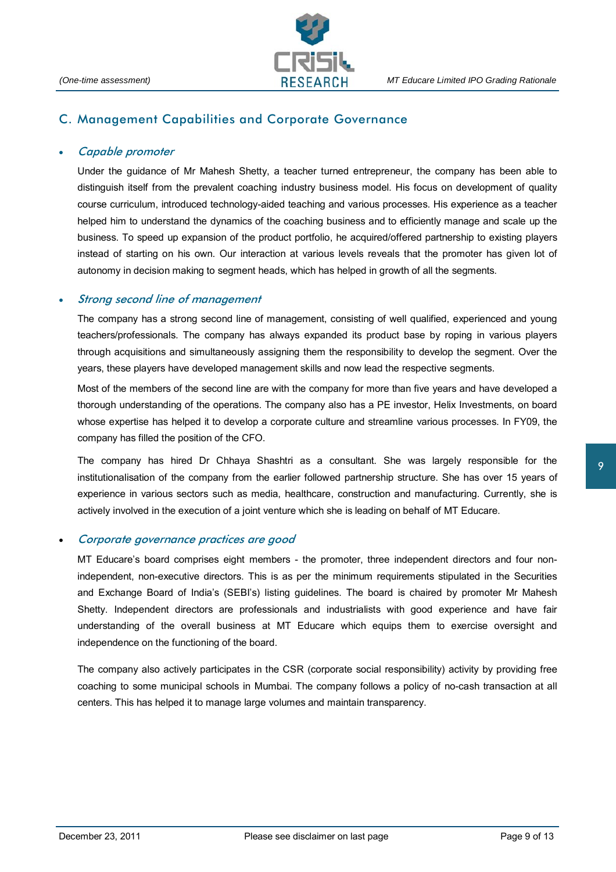

### C. Management Capabilities and Corporate Governance

#### • Capable promoter

Under the guidance of Mr Mahesh Shetty, a teacher turned entrepreneur, the company has been able to distinguish itself from the prevalent coaching industry business model. His focus on development of quality course curriculum, introduced technology-aided teaching and various processes. His experience as a teacher helped him to understand the dynamics of the coaching business and to efficiently manage and scale up the business. To speed up expansion of the product portfolio, he acquired/offered partnership to existing players instead of starting on his own. Our interaction at various levels reveals that the promoter has given lot of autonomy in decision making to segment heads, which has helped in growth of all the segments.

#### Strong second line of management

The company has a strong second line of management, consisting of well qualified, experienced and young teachers/professionals. The company has always expanded its product base by roping in various players through acquisitions and simultaneously assigning them the responsibility to develop the segment. Over the years, these players have developed management skills and now lead the respective segments.

Most of the members of the second line are with the company for more than five years and have developed a thorough understanding of the operations. The company also has a PE investor, Helix Investments, on board whose expertise has helped it to develop a corporate culture and streamline various processes. In FY09, the company has filled the position of the CFO.

The company has hired Dr Chhaya Shashtri as a consultant. She was largely responsible for the institutionalisation of the company from the earlier followed partnership structure. She has over 15 years of experience in various sectors such as media, healthcare, construction and manufacturing. Currently, she is actively involved in the execution of a joint venture which she is leading on behalf of MT Educare.

#### • Corporate governance practices are good

MT Educare's board comprises eight members - the promoter, three independent directors and four nonindependent, non-executive directors. This is as per the minimum requirements stipulated in the Securities and Exchange Board of India's (SEBI's) listing guidelines. The board is chaired by promoter Mr Mahesh Shetty. Independent directors are professionals and industrialists with good experience and have fair understanding of the overall business at MT Educare which equips them to exercise oversight and independence on the functioning of the board.

The company also actively participates in the CSR (corporate social responsibility) activity by providing free coaching to some municipal schools in Mumbai. The company follows a policy of no-cash transaction at all centers. This has helped it to manage large volumes and maintain transparency.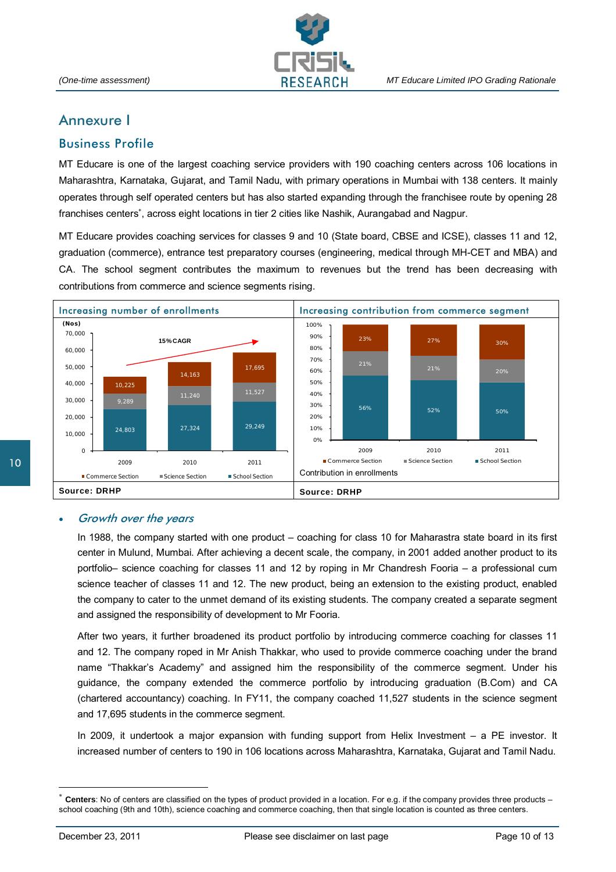

# Annexure I

# Business Profile

MT Educare is one of the largest coaching service providers with 190 coaching centers across 106 locations in Maharashtra, Karnataka, Gujarat, and Tamil Nadu, with primary operations in Mumbai with 138 centers. It mainly operates through self operated centers but has also started expanding through the franchisee route by opening 28 franchises centers<sup>∗</sup>, across eight locations in tier 2 cities like Nashik, Aurangabad and Nagpur.

MT Educare provides coaching services for classes 9 and 10 (State board, CBSE and ICSE), classes 11 and 12, graduation (commerce), entrance test preparatory courses (engineering, medical through MH-CET and MBA) and CA. The school segment contributes the maximum to revenues but the trend has been decreasing with contributions from commerce and science segments rising.



# 10

#### • Growth over the years

In 1988, the company started with one product – coaching for class 10 for Maharastra state board in its first center in Mulund, Mumbai. After achieving a decent scale, the company, in 2001 added another product to its portfolio– science coaching for classes 11 and 12 by roping in Mr Chandresh Fooria – a professional cum science teacher of classes 11 and 12. The new product, being an extension to the existing product, enabled the company to cater to the unmet demand of its existing students. The company created a separate segment and assigned the responsibility of development to Mr Fooria.

After two years, it further broadened its product portfolio by introducing commerce coaching for classes 11 and 12. The company roped in Mr Anish Thakkar, who used to provide commerce coaching under the brand name "Thakkar's Academy" and assigned him the responsibility of the commerce segment. Under his guidance, the company extended the commerce portfolio by introducing graduation (B.Com) and CA (chartered accountancy) coaching. In FY11, the company coached 11,527 students in the science segment and 17,695 students in the commerce segment.

In 2009, it undertook a major expansion with funding support from Helix Investment – a PE investor. It increased number of centers to 190 in 106 locations across Maharashtra, Karnataka, Gujarat and Tamil Nadu.

 $\overline{a}$ 

**Centers**: No of centers are classified on the types of product provided in a location. For e.g. if the company provides three products – school coaching (9th and 10th), science coaching and commerce coaching, then that single location is counted as three centers.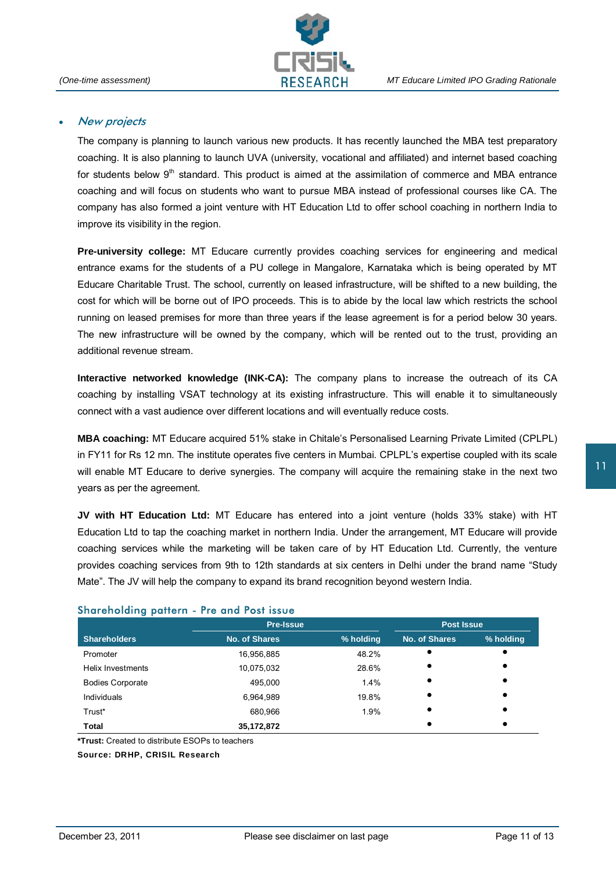

#### • New projects

The company is planning to launch various new products. It has recently launched the MBA test preparatory coaching. It is also planning to launch UVA (university, vocational and affiliated) and internet based coaching for students below 9<sup>th</sup> standard. This product is aimed at the assimilation of commerce and MBA entrance coaching and will focus on students who want to pursue MBA instead of professional courses like CA. The company has also formed a joint venture with HT Education Ltd to offer school coaching in northern India to improve its visibility in the region.

**Pre-university college:** MT Educare currently provides coaching services for engineering and medical entrance exams for the students of a PU college in Mangalore, Karnataka which is being operated by MT Educare Charitable Trust. The school, currently on leased infrastructure, will be shifted to a new building, the cost for which will be borne out of IPO proceeds. This is to abide by the local law which restricts the school running on leased premises for more than three years if the lease agreement is for a period below 30 years. The new infrastructure will be owned by the company, which will be rented out to the trust, providing an additional revenue stream.

**Interactive networked knowledge (INK-CA):** The company plans to increase the outreach of its CA coaching by installing VSAT technology at its existing infrastructure. This will enable it to simultaneously connect with a vast audience over different locations and will eventually reduce costs.

**MBA coaching:** MT Educare acquired 51% stake in Chitale's Personalised Learning Private Limited (CPLPL) in FY11 for Rs 12 mn. The institute operates five centers in Mumbai. CPLPL's expertise coupled with its scale will enable MT Educare to derive synergies. The company will acquire the remaining stake in the next two years as per the agreement.

**JV with HT Education Ltd:** MT Educare has entered into a joint venture (holds 33% stake) with HT Education Ltd to tap the coaching market in northern India. Under the arrangement, MT Educare will provide coaching services while the marketing will be taken care of by HT Education Ltd. Currently, the venture provides coaching services from 9th to 12th standards at six centers in Delhi under the brand name "Study Mate". The JV will help the company to expand its brand recognition beyond western India.

#### Shareholding pattern - Pre and Post issue

|                          | <b>Pre-Issue</b> | <b>Post Issue</b> |               |           |
|--------------------------|------------------|-------------------|---------------|-----------|
| <b>Shareholders</b>      | No. of Shares    | % holding         | No. of Shares | % holding |
| Promoter                 | 16,956,885       | 48.2%             |               | $\bullet$ |
| <b>Helix Investments</b> | 10,075,032       | 28.6%             | $\bullet$     |           |
| <b>Bodies Corporate</b>  | 495,000          | 1.4%              |               | $\bullet$ |
| Individuals              | 6,964,989        | 19.8%             |               |           |
| Trust*                   | 680,966          | 1.9%              |               |           |
| Total                    | 35,172,872       |                   |               |           |

**\*Trust:** Created to distribute ESOPs to teachers

**Source: DRHP, CRISIL Research**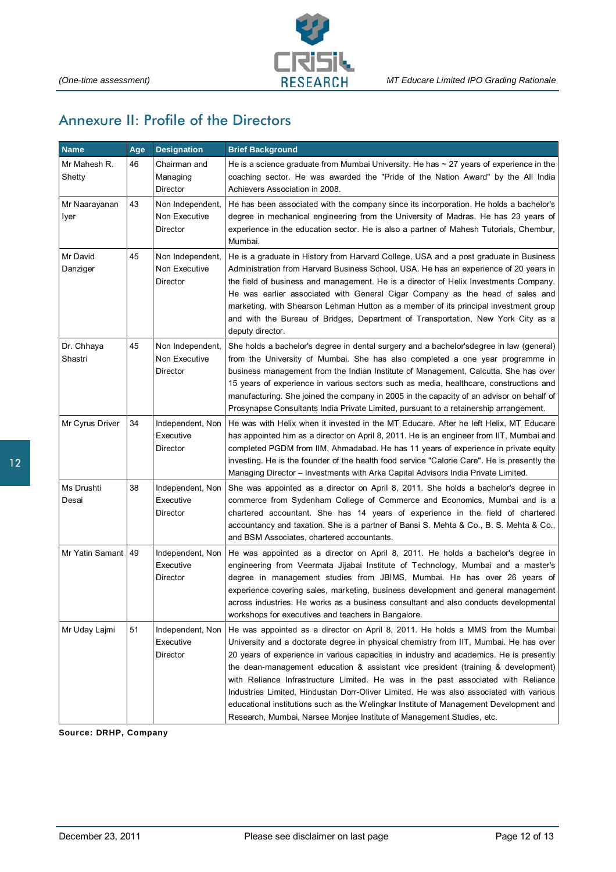

# Annexure II: Profile of the Directors

| <b>Name</b>            | Age | <b>Designation</b>                            | <b>Brief Background</b>                                                                                                                                                                                                                                                                                                                                                                                                                                                                                                                                                                                                                                                                                    |
|------------------------|-----|-----------------------------------------------|------------------------------------------------------------------------------------------------------------------------------------------------------------------------------------------------------------------------------------------------------------------------------------------------------------------------------------------------------------------------------------------------------------------------------------------------------------------------------------------------------------------------------------------------------------------------------------------------------------------------------------------------------------------------------------------------------------|
| Mr Mahesh R.<br>Shetty | 46  | Chairman and<br>Managing<br>Director          | He is a science graduate from Mumbai University. He has $\sim$ 27 years of experience in the<br>coaching sector. He was awarded the "Pride of the Nation Award" by the All India<br>Achievers Association in 2008.                                                                                                                                                                                                                                                                                                                                                                                                                                                                                         |
| Mr Naarayanan<br>Iyer  | 43  | Non Independent,<br>Non Executive<br>Director | He has been associated with the company since its incorporation. He holds a bachelor's<br>degree in mechanical engineering from the University of Madras. He has 23 years of<br>experience in the education sector. He is also a partner of Mahesh Tutorials, Chembur,<br>Mumbai.                                                                                                                                                                                                                                                                                                                                                                                                                          |
| Mr David<br>Danziger   | 45  | Non Independent,<br>Non Executive<br>Director | He is a graduate in History from Harvard College, USA and a post graduate in Business<br>Administration from Harvard Business School, USA. He has an experience of 20 years in<br>the field of business and management. He is a director of Helix Investments Company.<br>He was earlier associated with General Cigar Company as the head of sales and<br>marketing, with Shearson Lehman Hutton as a member of its principal investment group<br>and with the Bureau of Bridges, Department of Transportation, New York City as a<br>deputy director.                                                                                                                                                    |
| Dr. Chhaya<br>Shastri  | 45  | Non Independent,<br>Non Executive<br>Director | She holds a bachelor's degree in dental surgery and a bachelor's degree in law (general)<br>from the University of Mumbai. She has also completed a one year programme in<br>business management from the Indian Institute of Management, Calcutta. She has over<br>15 years of experience in various sectors such as media, healthcare, constructions and<br>manufacturing. She joined the company in 2005 in the capacity of an advisor on behalf of<br>Prosynapse Consultants India Private Limited, pursuant to a retainership arrangement.                                                                                                                                                            |
| Mr Cyrus Driver        | 34  | Independent, Non<br>Executive<br>Director     | He was with Helix when it invested in the MT Educare. After he left Helix, MT Educare<br>has appointed him as a director on April 8, 2011. He is an engineer from IIT, Mumbai and<br>completed PGDM from IIM, Ahmadabad. He has 11 years of experience in private equity<br>investing. He is the founder of the health food service "Calorie Care". He is presently the<br>Managing Director - Investments with Arka Capital Advisors India Private Limited.                                                                                                                                                                                                                                               |
| Ms Drushti<br>Desai    | 38  | Independent, Non<br>Executive<br>Director     | She was appointed as a director on April 8, 2011. She holds a bachelor's degree in<br>commerce from Sydenham College of Commerce and Economics, Mumbai and is a<br>chartered accountant. She has 14 years of experience in the field of chartered<br>accountancy and taxation. She is a partner of Bansi S. Mehta & Co., B. S. Mehta & Co.,<br>and BSM Associates, chartered accountants.                                                                                                                                                                                                                                                                                                                  |
| Mr Yatin Samant        | 49  | Independent, Non<br>Executive<br>Director     | He was appointed as a director on April 8, 2011. He holds a bachelor's degree in<br>engineering from Veermata Jijabai Institute of Technology, Mumbai and a master's<br>degree in management studies from JBIMS, Mumbai. He has over 26 years of<br>experience covering sales, marketing, business development and general management<br>across industries. He works as a business consultant and also conducts developmental<br>workshops for executives and teachers in Bangalore.                                                                                                                                                                                                                       |
| Mr Uday Lajmi          | 51  | Independent, Non<br>Executive<br>Director     | He was appointed as a director on April 8, 2011. He holds a MMS from the Mumbai<br>University and a doctorate degree in physical chemistry from IIT, Mumbai. He has over<br>20 years of experience in various capacities in industry and academics. He is presently<br>the dean-management education & assistant vice president (training & development)<br>with Reliance Infrastructure Limited. He was in the past associated with Reliance<br>Industries Limited, Hindustan Dorr-Oliver Limited. He was also associated with various<br>educational institutions such as the Welingkar Institute of Management Development and<br>Research, Mumbai, Narsee Monjee Institute of Management Studies, etc. |

**Source: DRHP, Company**